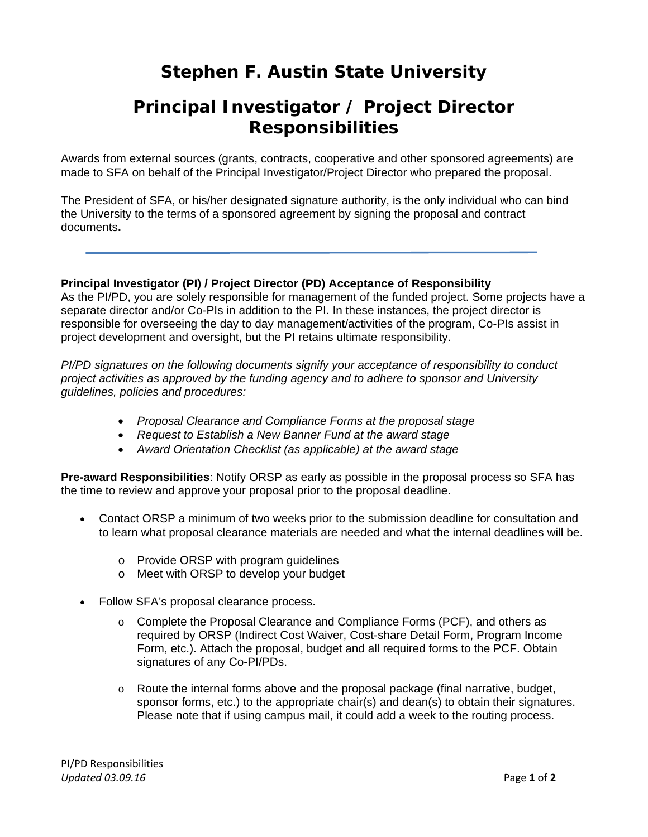## **Stephen F. Austin State University**

## **Principal Investigator / Project Director Responsibilities**

Awards from external sources (grants, contracts, cooperative and other sponsored agreements) are made to SFA on behalf of the Principal Investigator/Project Director who prepared the proposal.

The President of SFA, or his/her designated signature authority, is the only individual who can bind the University to the terms of a sponsored agreement by signing the proposal and contract documents**.** 

## **Principal Investigator (PI) / Project Director (PD) Acceptance of Responsibility**

As the PI/PD, you are solely responsible for management of the funded project. Some projects have a separate director and/or Co-PIs in addition to the PI. In these instances, the project director is responsible for overseeing the day to day management/activities of the program, Co-PIs assist in project development and oversight, but the PI retains ultimate responsibility.

*PI/PD signatures on the following documents signify your acceptance of responsibility to conduct project activities as approved by the funding agency and to adhere to sponsor and University guidelines, policies and procedures:* 

- *Proposal Clearance and Compliance Forms at the proposal stage*
- *Request to Establish a New Banner Fund at the award stage*
- *Award Orientation Checklist (as applicable) at the award stage*

**Pre-award Responsibilities**: Notify ORSP as early as possible in the proposal process so SFA has the time to review and approve your proposal prior to the proposal deadline.

- Contact ORSP a minimum of two weeks prior to the submission deadline for consultation and to learn what proposal clearance materials are needed and what the internal deadlines will be.
	- o Provide ORSP with program guidelines
	- o Meet with ORSP to develop your budget
- Follow SFA's proposal clearance process.
	- o Complete the Proposal Clearance and Compliance Forms (PCF), and others as required by ORSP (Indirect Cost Waiver, Cost-share Detail Form, Program Income Form, etc.). Attach the proposal, budget and all required forms to the PCF. Obtain signatures of any Co-PI/PDs.
	- $\circ$  Route the internal forms above and the proposal package (final narrative, budget, sponsor forms, etc.) to the appropriate chair(s) and dean(s) to obtain their signatures. Please note that if using campus mail, it could add a week to the routing process.